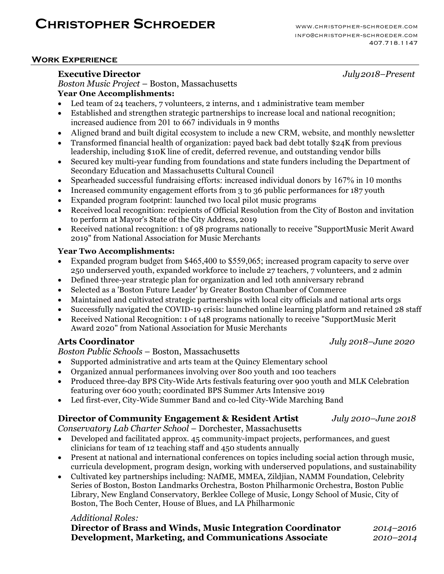# **Christopher Schroeder** www.christopher-schroeder.com

## **Work Experience**

# **Executive Director** *July2018–Present*

*Boston Music Project* – Boston, Massachusetts **Year One Accomplishments:** 

- Led team of 24 teachers, 7 volunteers, 2 interns, and 1 administrative team member
- Established and strengthen strategic partnerships to increase local and national recognition; increased audience from 201 to 667 individuals in 9 months
- Aligned brand and built digital ecosystem to include a new CRM, website, and monthly newsletter
- Transformed financial health of organization: payed back bad debt totally \$24K from previous leadership, including \$10K line of credit, deferred revenue, and outstanding vendor bills
- Secured key multi-year funding from foundations and state funders including the Department of Secondary Education and Massachusetts Cultural Council
- Spearheaded successful fundraising efforts: increased individual donors by 167% in 10 months
- Increased community engagement efforts from 3 to 36 public performances for 187 youth
- Expanded program footprint: launched two local pilot music programs
- Received local recognition: recipients of Official Resolution from the City of Boston and invitation to perform at Mayor's State of the City Address, 2019
- Received national recognition: 1 of 98 programs nationally to receive "SupportMusic Merit Award 2019" from National Association for Music Merchants

#### **Year Two Accomplishments:**

- Expanded program budget from \$465,400 to \$559,065; increased program capacity to serve over 250 underserved youth, expanded workforce to include 27 teachers, 7 volunteers, and 2 admin
- Defined three-year strategic plan for organization and led 10th anniversary rebrand
- Selected as a 'Boston Future Leader' by Greater Boston Chamber of Commerce
- Maintained and cultivated strategic partnerships with local city officials and national arts orgs
- Successfully navigated the COVID-19 crisis: launched online learning platform and retained 28 staff
- Received National Recognition: 1 of 148 programs nationally to receive "SupportMusic Merit Award 2020" from National Association for Music Merchants

# **Arts Coordinator** *July 2018–June 2020*

*Boston Public Schools* – Boston, Massachusetts

- Supported administrative and arts team at the Quincy Elementary school
- Organized annual performances involving over 800 youth and 100 teachers
- Produced three-day BPS City-Wide Arts festivals featuring over 900 youth and MLK Celebration featuring over 600 youth; coordinated BPS Summer Arts Intensive 2019
- Led first-ever, City-Wide Summer Band and co-led City-Wide Marching Band

# **Director of Community Engagement & Resident Artist** *July 2010–June 2018*

*Conservatory Lab Charter School* – Dorchester, Massachusetts

- Developed and facilitated approx. 45 community-impact projects, performances, and guest clinicians for team of 12 teaching staff and 450 students annually
- Present at national and international conferences on topics including social action through music, curricula development, program design, working with underserved populations, and sustainability
- Cultivated key partnerships including: NAfME, MMEA, Zildjian, NAMM Foundation, Celebrity Series of Boston, Boston Landmarks Orchestra, Boston Philharmonic Orchestra, Boston Public Library, New England Conservatory, Berklee College of Music, Longy School of Music, City of Boston, The Boch Center, House of Blues, and LA Philharmonic

#### *Additional Roles:*

| Director of Brass and Winds, Music Integration Coordinator | 2014-2016 |
|------------------------------------------------------------|-----------|
| Development, Marketing, and Communications Associate       | 2010-2014 |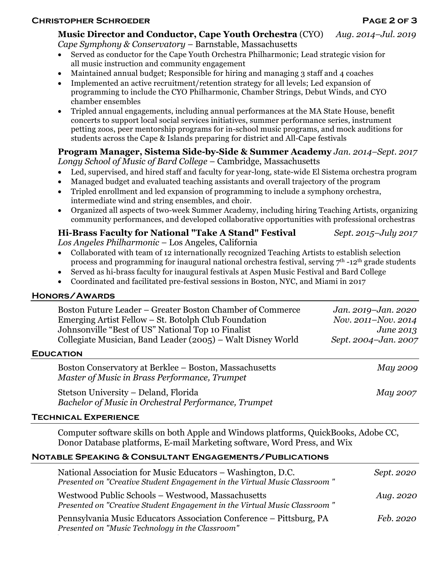## **Christopher Schroeder Page 2 of 3**

#### **Music Director and Conductor, Cape Youth Orchestra** (CYO) *Aug. 2014–Jul. 2019 Cape Symphony & Conservatory* – Barnstable, Massachusetts

- Served as conductor for the Cape Youth Orchestra Philharmonic; Lead strategic vision for all music instruction and community engagement
- Maintained annual budget; Responsible for hiring and managing 3 staff and 4 coaches
- Implemented an active recruitment/retention strategy for all levels; Led expansion of programming to include the CYO Philharmonic, Chamber Strings, Debut Winds, and CYO chamber ensembles
- Tripled annual engagements, including annual performances at the MA State House, benefit concerts to support local social services initiatives, summer performance series, instrument petting zoos, peer mentorship programs for in-school music programs, and mock auditions for students across the Cape & Islands preparing for district and All-Cape festivals

# **Program Manager, Sistema Side-by-Side & Summer Academy** *Jan. 2014–Sept. 2017*

*Longy School of Music of Bard College* – Cambridge, Massachusetts

- Led, supervised, and hired staff and faculty for year-long, state-wide El Sistema orchestra program
- Managed budget and evaluated teaching assistants and overall trajectory of the program
- Tripled enrollment and led expansion of programming to include a symphony orchestra, intermediate wind and string ensembles, and choir.
- Organized all aspects of two-week Summer Academy, including hiring Teaching Artists, organizing community performances, and developed collaborative opportunities with professional orchestras

#### **Hi-Brass Faculty for National "Take A Stand" Festival** *Sept. 2015–July 2017 Los Angeles Philharmonic –* Los Angeles, California

- Collaborated with team of 12 internationally recognized Teaching Artists to establish selection process and programming for inaugural national orchestra festival, serving  $7<sup>th</sup>$ -12<sup>th</sup> grade students
- Served as hi-brass faculty for inaugural festivals at Aspen Music Festival and Bard College
- Coordinated and facilitated pre-festival sessions in Boston, NYC, and Miami in 2017

# **Honors/Awards**

**Education** 

| Boston Future Leader – Greater Boston Chamber of Commerce<br>Emerging Artist Fellow – St. Botolph Club Foundation<br>Johnsonville "Best of US" National Top 10 Finalist<br>Collegiate Musician, Band Leader (2005) – Walt Disney World | Jan. 2019-Jan. 2020<br>Nov. 2011-Nov. 2014<br>June 2013<br>Sept. 2004-Jan. 2007 |  |  |
|----------------------------------------------------------------------------------------------------------------------------------------------------------------------------------------------------------------------------------------|---------------------------------------------------------------------------------|--|--|
| UCATION                                                                                                                                                                                                                                |                                                                                 |  |  |
| Boston Conservatory at Berklee - Boston, Massachusetts<br>Master of Music in Brass Performance, Trumpet                                                                                                                                | May 2009                                                                        |  |  |
| Stetson University – Deland, Florida<br>Bachelor of Music in Orchestral Performance, Trumpet                                                                                                                                           | May 2007                                                                        |  |  |

# **Technical Experience**

Computer software skills on both Apple and Windows platforms, QuickBooks, Adobe CC, Donor Database platforms, E-mail Marketing software, Word Press, and Wix

# **Notable Speaking & Consultant Engagements/Publications**

| National Association for Music Educators – Washington, D.C.<br>Presented on "Creative Student Engagement in the Virtual Music Classroom" | Sept. 2020 |
|------------------------------------------------------------------------------------------------------------------------------------------|------------|
| Westwood Public Schools - Westwood, Massachusetts<br>Presented on "Creative Student Engagement in the Virtual Music Classroom"           | Aug. 2020  |
| Pennsylvania Music Educators Association Conference – Pittsburg, PA<br>Presented on "Music Technology in the Classroom"                  | Feb. 2020  |